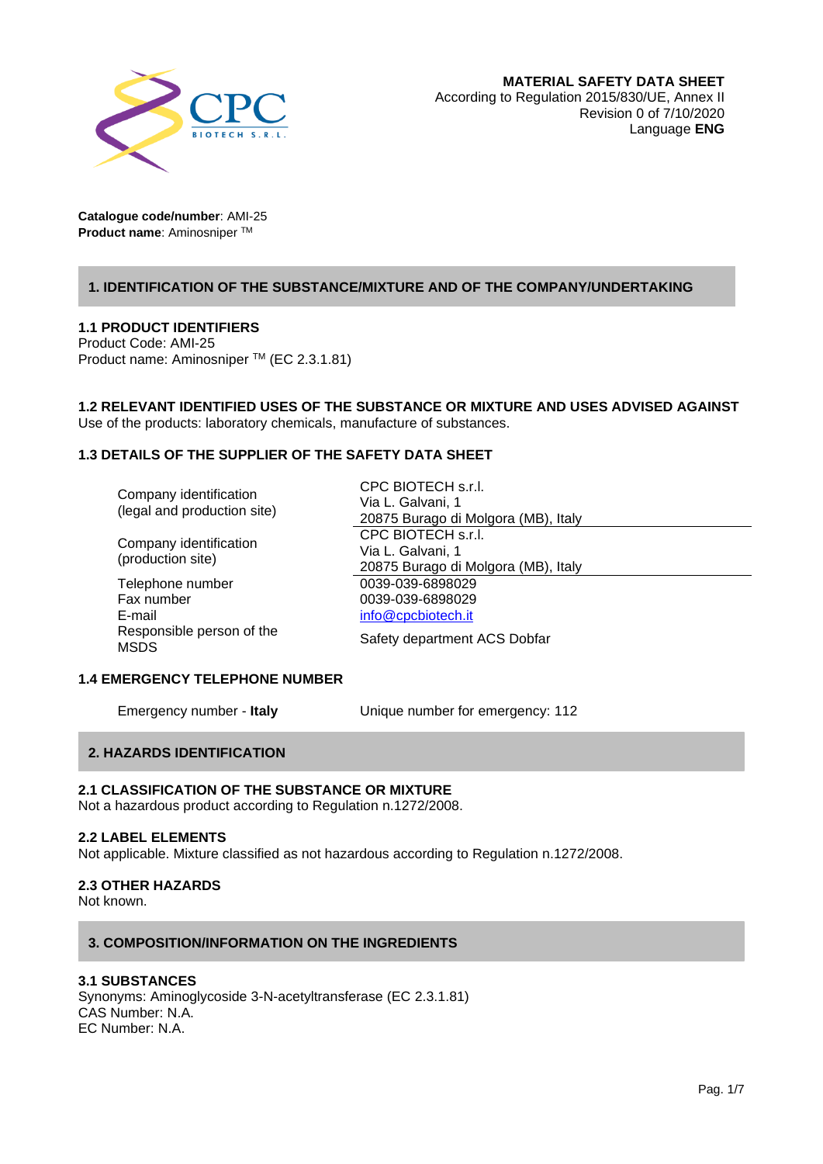

# **1. IDENTIFICATION OF THE SUBSTANCE/MIXTURE AND OF THE COMPANY/UNDERTAKING**

# **1.1 PRODUCT IDENTIFIERS**

Product Code: AMI-25 Product name: Aminosniper TM (EC 2.3.1.81)

**1.2 RELEVANT IDENTIFIED USES OF THE SUBSTANCE OR MIXTURE AND USES ADVISED AGAINST** Use of the products: laboratory chemicals, manufacture of substances.

# **1.3 DETAILS OF THE SUPPLIER OF THE SAFETY DATA SHEET**

| Company identification<br>(legal and production site)<br>Company identification | CPC BIOTECH s.r.l.                  |
|---------------------------------------------------------------------------------|-------------------------------------|
|                                                                                 | Via L. Galvani, 1                   |
|                                                                                 | 20875 Burago di Molgora (MB), Italy |
|                                                                                 | CPC BIOTECH s.r.l.                  |
|                                                                                 | Via L. Galvani, 1                   |
| (production site)                                                               | 20875 Burago di Molgora (MB), Italy |
| Telephone number                                                                | 0039-039-6898029                    |
| Fax number                                                                      | 0039-039-6898029                    |
| E-mail                                                                          | info@cpcbiotech.it                  |
| Responsible person of the<br><b>MSDS</b>                                        | Safety department ACS Dobfar        |

# **1.4 EMERGENCY TELEPHONE NUMBER**

Emergency number - **Italy** Unique number for emergency: 112

# **2. HAZARDS IDENTIFICATION**

## **2.1 CLASSIFICATION OF THE SUBSTANCE OR MIXTURE**

Not a hazardous product according to Regulation n.1272/2008.

#### **2.2 LABEL ELEMENTS**

Not applicable. Mixture classified as not hazardous according to Regulation n.1272/2008.

# **2.3 OTHER HAZARDS**

Not known.

## **3. COMPOSITION/INFORMATION ON THE INGREDIENTS**

# **3.1 SUBSTANCES**

Synonyms: Aminoglycoside 3-N-acetyltransferase (EC 2.3.1.81) CAS Number: N.A. EC Number: N.A.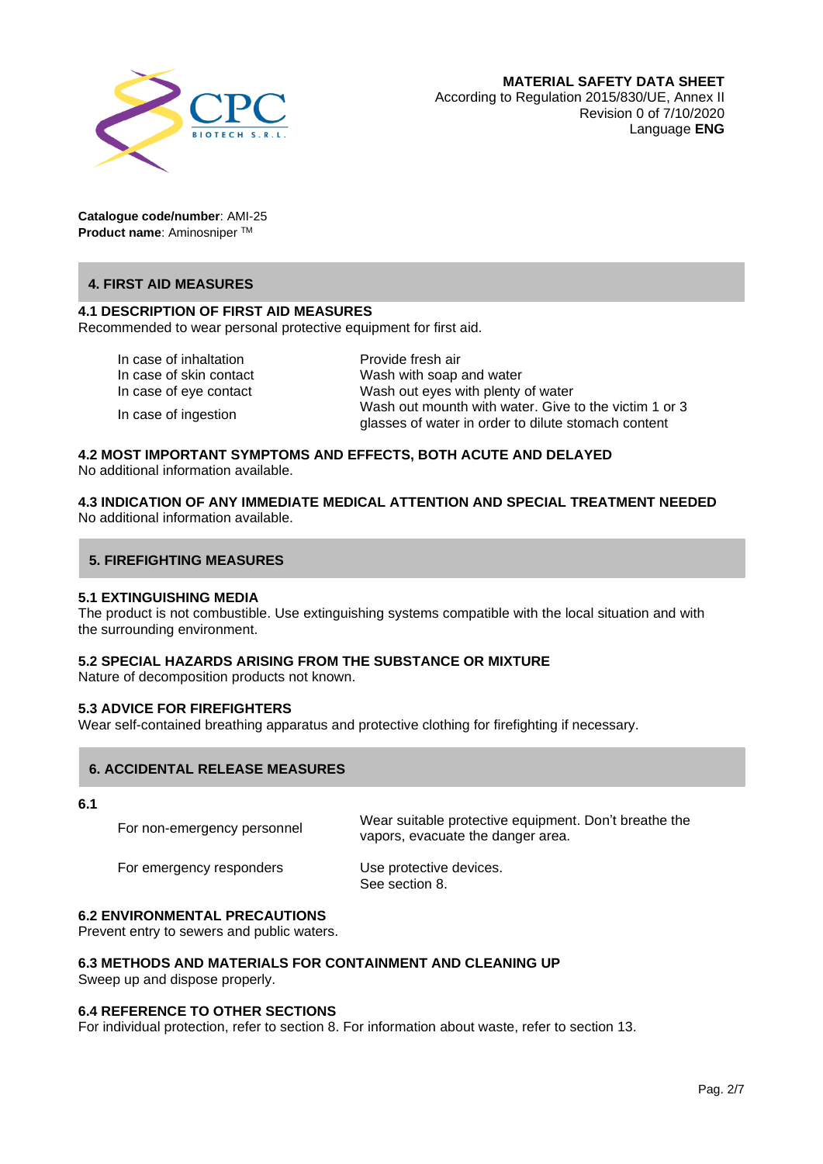

# **4. FIRST AID MEASURES**

# **4.1 DESCRIPTION OF FIRST AID MEASURES**

Recommended to wear personal protective equipment for first aid.

In case of inhaltation **Provide fresh air** 

In case of ingestion

In case of skin contact Wash with soap and water In case of eye contact Wash out eyes with plenty of water Wash out mounth with water. Give to the victim 1 or 3 glasses of water in order to dilute stomach content

#### **4.2 MOST IMPORTANT SYMPTOMS AND EFFECTS, BOTH ACUTE AND DELAYED** No additional information available.

# **4.3 INDICATION OF ANY IMMEDIATE MEDICAL ATTENTION AND SPECIAL TREATMENT NEEDED** No additional information available.

## **5. FIREFIGHTING MEASURES**

#### **5.1 EXTINGUISHING MEDIA**

The product is not combustible. Use extinguishing systems compatible with the local situation and with the surrounding environment.

# **5.2 SPECIAL HAZARDS ARISING FROM THE SUBSTANCE OR MIXTURE**

Nature of decomposition products not known.

#### **5.3 ADVICE FOR FIREFIGHTERS**

Wear self-contained breathing apparatus and protective clothing for firefighting if necessary.

# **6. ACCIDENTAL RELEASE MEASURES**

**6.1** 

For non-emergency personnel Wear suitable protective equipment. Don't breathe the vapors, evacuate the danger area.

For emergency responders Use protective devices.

See section 8.

# **6.2 ENVIRONMENTAL PRECAUTIONS**

Prevent entry to sewers and public waters.

# **6.3 METHODS AND MATERIALS FOR CONTAINMENT AND CLEANING UP**

Sweep up and dispose properly.

#### **6.4 REFERENCE TO OTHER SECTIONS**

For individual protection, refer to section 8. For information about waste, refer to section 13.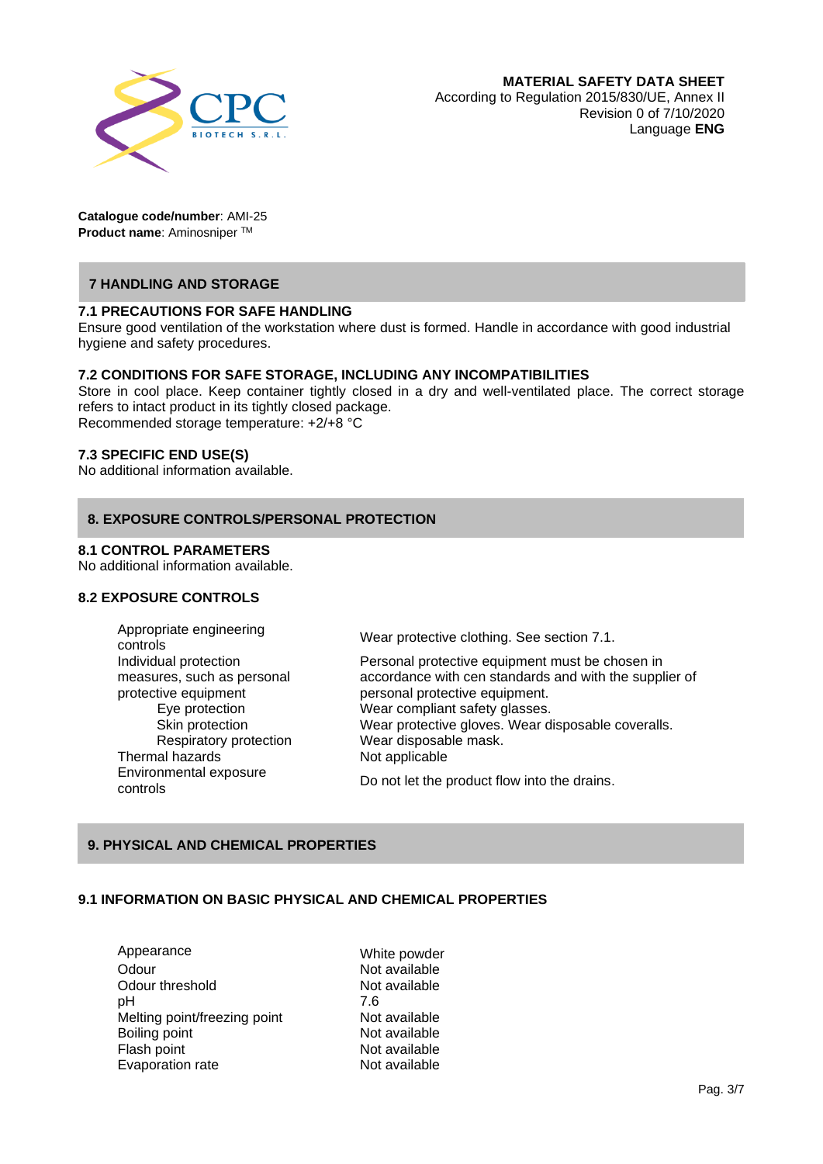

# **7 HANDLING AND STORAGE**

## **7.1 PRECAUTIONS FOR SAFE HANDLING**

Ensure good ventilation of the workstation where dust is formed. Handle in accordance with good industrial hygiene and safety procedures.

## **7.2 CONDITIONS FOR SAFE STORAGE, INCLUDING ANY INCOMPATIBILITIES**

Store in cool place. Keep container tightly closed in a dry and well-ventilated place. The correct storage refers to intact product in its tightly closed package. Recommended storage temperature: +2/+8 °C

## **7.3 SPECIFIC END USE(S)**

No additional information available.

## **8. EXPOSURE CONTROLS/PERSONAL PROTECTION**

#### **8.1 CONTROL PARAMETERS**

No additional information available.

# **8.2 EXPOSURE CONTROLS**

Appropriate engineering<br>controls Individual protection measures, such as personal protective equipment Thermal hazards Not applicable Environmental exposure

Wear protective clothing. See section 7.1.

Personal protective equipment must be chosen in accordance with cen standards and with the supplier of personal protective equipment. Eye protection Wear compliant safety glasses. Skin protection Wear protective gloves. Wear disposable coveralls. Respiratory protection Wear disposable mask.

controls Do not let the product flow into the drains.

# **9. PHYSICAL AND CHEMICAL PROPERTIES**

## **9.1 INFORMATION ON BASIC PHYSICAL AND CHEMICAL PROPERTIES**

Appearance White powder Odour Not available Odour threshold Not available pH 7.6 Melting point/freezing point Not available Boiling point **Not available** Flash point **Flash point Not available**<br>
Evaporation rate **Not available** Evaporation rate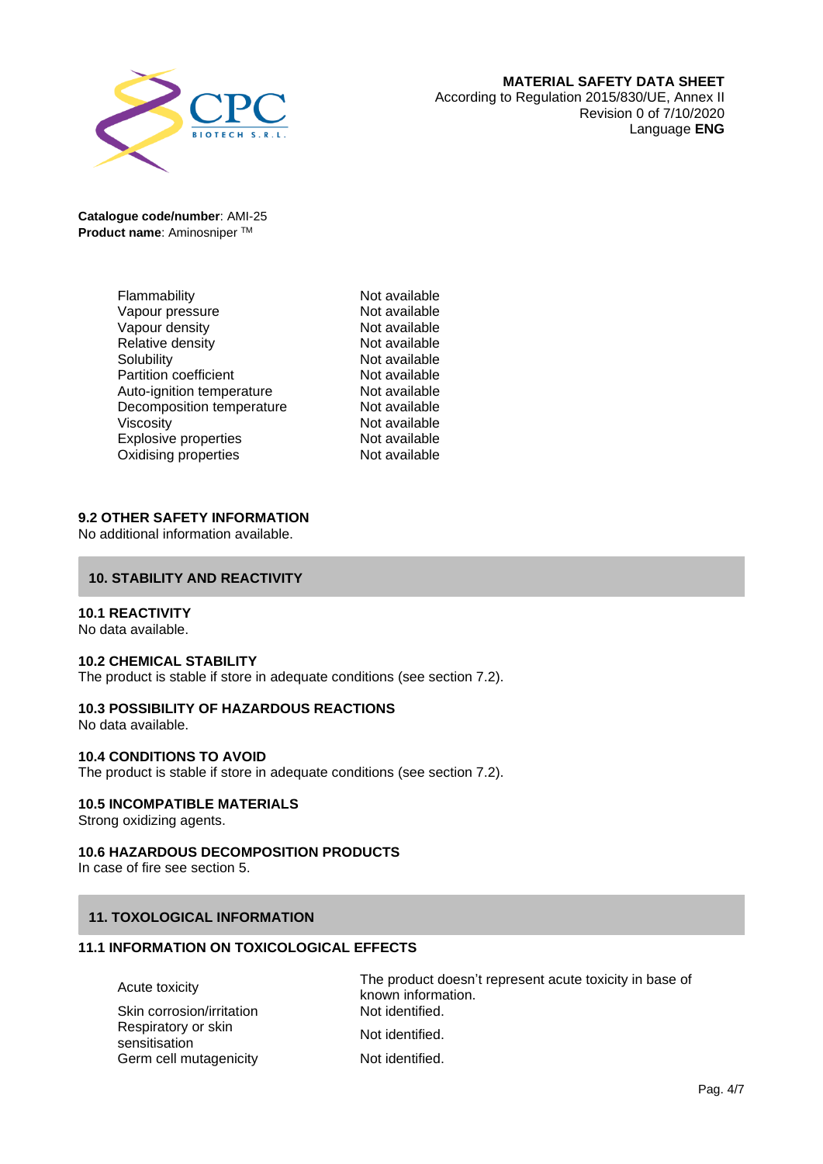

| Flammability                 | Not available |
|------------------------------|---------------|
| Vapour pressure              | Not available |
| Vapour density               | Not available |
| Relative density             | Not available |
| Solubility                   | Not available |
| <b>Partition coefficient</b> | Not available |
| Auto-ignition temperature    | Not available |
| Decomposition temperature    | Not available |
| <b>Viscosity</b>             | Not available |
| <b>Explosive properties</b>  | Not available |
| Oxidising properties         | Not available |

# **9.2 OTHER SAFETY INFORMATION**

No additional information available.

## **10. STABILITY AND REACTIVITY**

#### **10.1 REACTIVITY**

No data available.

#### **10.2 CHEMICAL STABILITY**

The product is stable if store in adequate conditions (see section 7.2).

# **10.3 POSSIBILITY OF HAZARDOUS REACTIONS**

No data available.

#### **10.4 CONDITIONS TO AVOID**

The product is stable if store in adequate conditions (see section 7.2).

#### **10.5 INCOMPATIBLE MATERIALS**

Strong oxidizing agents.

## **10.6 HAZARDOUS DECOMPOSITION PRODUCTS**

In case of fire see section 5.

## **11. TOXOLOGICAL INFORMATION**

# **11.1 INFORMATION ON TOXICOLOGICAL EFFECTS**

| Skin corrosion/irritation |  |
|---------------------------|--|
| Respiratory or skin       |  |
| sensitisation             |  |
| Germ cell mutagenicity    |  |

Acute toxicity The product doesn't represent acute toxicity in base of known information. Not identified

Not identified.

Not identified.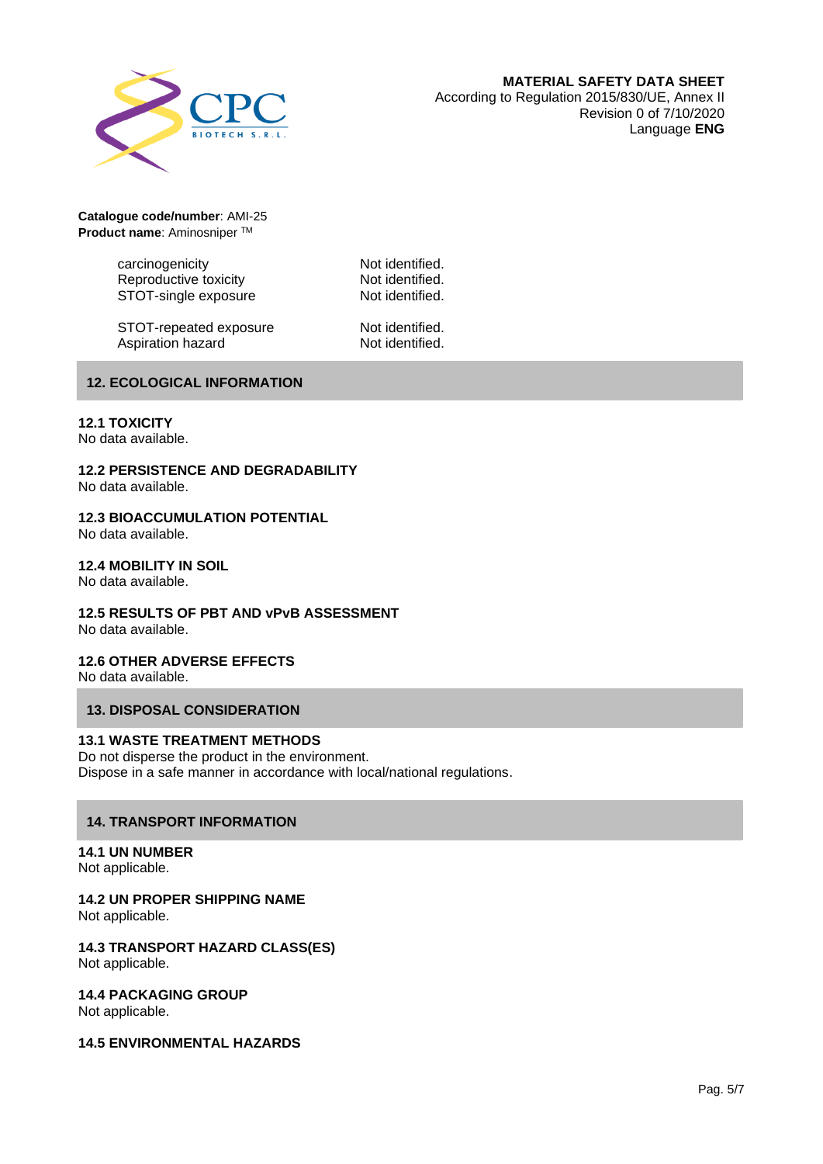

carcinogenicity **Not identified.** Reproductive toxicity **Not identified.**<br>STOT-single exposure **Not identified.** STOT-single exposure

STOT-repeated exposure Mot identified.<br>Aspiration hazard Mot identified. Aspiration hazard

# **12. ECOLOGICAL INFORMATION**

## **12.1 TOXICITY**

No data available.

#### **12.2 PERSISTENCE AND DEGRADABILITY** No data available.

# **12.3 BIOACCUMULATION POTENTIAL**

No data available.

## **12.4 MOBILITY IN SOIL**

No data available.

# **12.5 RESULTS OF PBT AND vPvB ASSESSMENT**

No data available.

# **12.6 OTHER ADVERSE EFFECTS**

No data available.

# **13. DISPOSAL CONSIDERATION**

#### **13.1 WASTE TREATMENT METHODS**

Do not disperse the product in the environment. Dispose in a safe manner in accordance with local/national regulations.

# **14. TRANSPORT INFORMATION**

#### **14.1 UN NUMBER** Not applicable.

**14.2 UN PROPER SHIPPING NAME** Not applicable.

**14.3 TRANSPORT HAZARD CLASS(ES)** Not applicable.

**14.4 PACKAGING GROUP** Not applicable.

**14.5 ENVIRONMENTAL HAZARDS**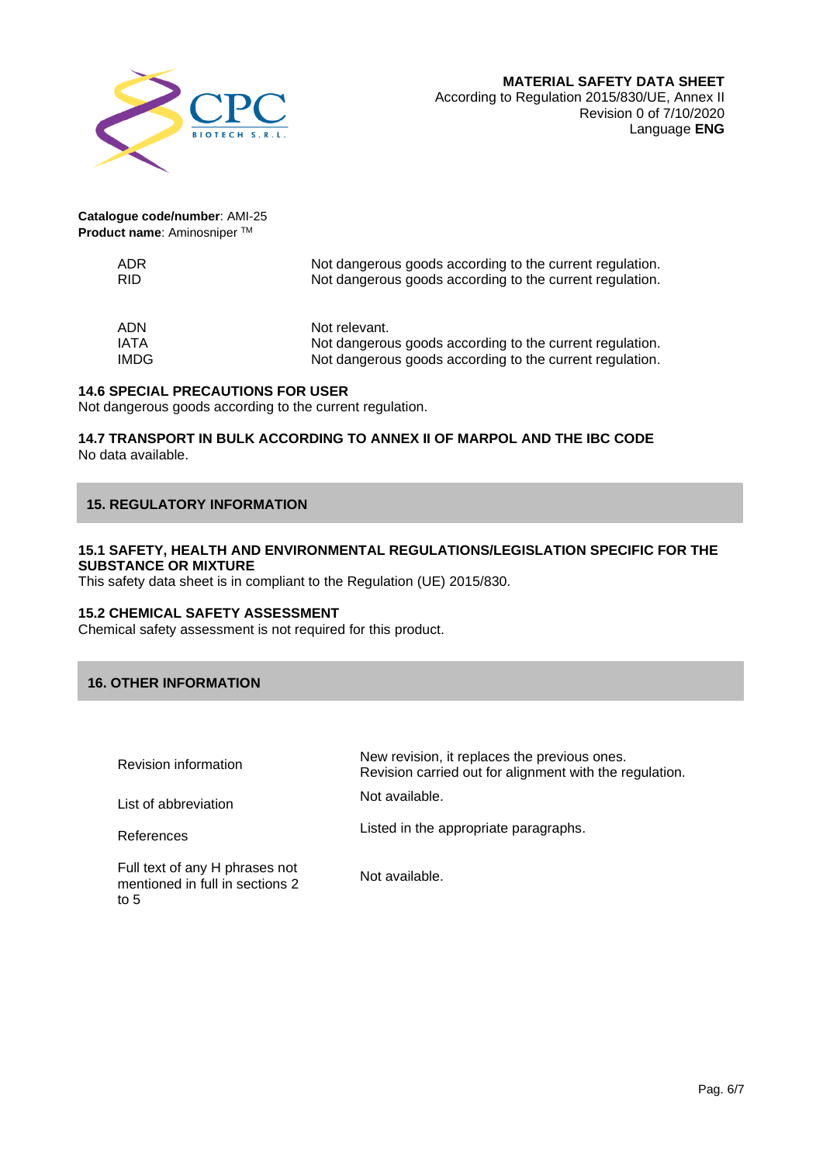

| ADR         | Not dangerous goods according to the current regulation. |
|-------------|----------------------------------------------------------|
| RID.        | Not dangerous goods according to the current regulation. |
| ADN         | Not relevant.                                            |
| <b>IATA</b> | Not dangerous goods according to the current regulation. |
| <b>IMDG</b> | Not dangerous goods according to the current regulation. |

# **14.6 SPECIAL PRECAUTIONS FOR USER**

Not dangerous goods according to the current regulation.

#### **14.7 TRANSPORT IN BULK ACCORDING TO ANNEX II OF MARPOL AND THE IBC CODE** No data available.

# **15. REGULATORY INFORMATION**

# **15.1 SAFETY, HEALTH AND ENVIRONMENTAL REGULATIONS/LEGISLATION SPECIFIC FOR THE SUBSTANCE OR MIXTURE**

This safety data sheet is in compliant to the Regulation (UE) 2015/830.

#### **15.2 CHEMICAL SAFETY ASSESSMENT**

Chemical safety assessment is not required for this product.

# **16. OTHER INFORMATION**

| <b>Revision information</b>                                                  | New revision, it replaces the previous ones.<br>Revision carried out for alignment with the regulation. |
|------------------------------------------------------------------------------|---------------------------------------------------------------------------------------------------------|
| List of abbreviation                                                         | Not available.                                                                                          |
| References                                                                   | Listed in the appropriate paragraphs.                                                                   |
| Full text of any H phrases not<br>mentioned in full in sections 2<br>to $51$ | Not available.                                                                                          |